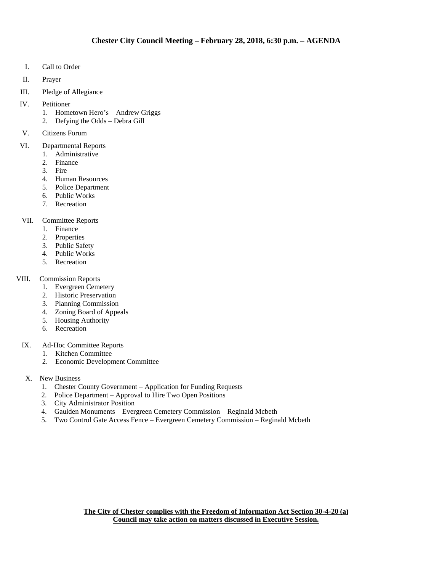- I. Call to Order
- II. Prayer
- III. Pledge of Allegiance
- IV. Petitioner
	- 1. Hometown Hero's Andrew Griggs
	- 2. Defying the Odds Debra Gill
- V. Citizens Forum
- VI. Departmental Reports
	- 1. Administrative
	- 2. Finance
	- 3. Fire
	- 4. Human Resources
	- 5. Police Department
	- 6. Public Works
	- 7. Recreation

#### VII. Committee Reports

- 1. Finance
- 2. Properties
- 3. Public Safety
- 4. Public Works
- 5. Recreation
- VIII. Commission Reports
	- 1. Evergreen Cemetery
	- 2. Historic Preservation
	- 3. Planning Commission
	- 4. Zoning Board of Appeals
	- 5. Housing Authority
	- 6. Recreation
- IX. Ad-Hoc Committee Reports
	- 1. Kitchen Committee
	- 2. Economic Development Committee
- X. New Business
	- 1. Chester County Government Application for Funding Requests
	- 2. Police Department Approval to Hire Two Open Positions
	- 3. City Administrator Position
	- 4. Gaulden Monuments Evergreen Cemetery Commission Reginald Mcbeth
	- 5. Two Control Gate Access Fence Evergreen Cemetery Commission Reginald Mcbeth

**The City of Chester complies with the Freedom of Information Act Section 30-4-20 (a) Council may take action on matters discussed in Executive Session.**